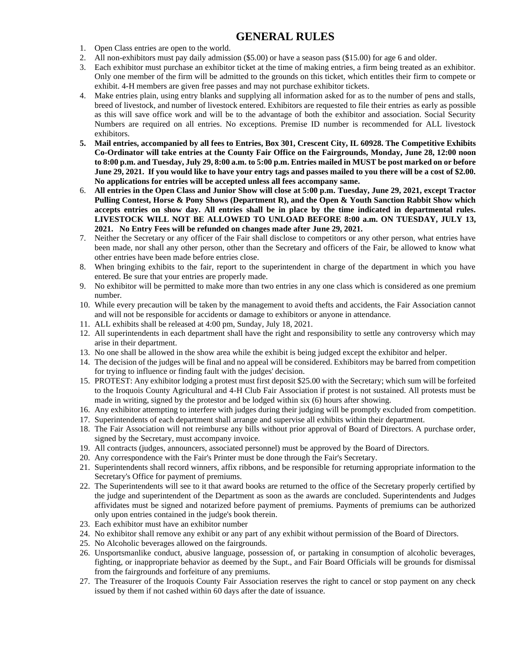### **GENERAL RULES**

- 1. Open Class entries are open to the world.
- 2. All non-exhibitors must pay daily admission (\$5.00) or have a season pass (\$15.00) for age 6 and older.
- 3. Each exhibitor must purchase an exhibitor ticket at the time of making entries, a firm being treated as an exhibitor. Only one member of the firm will be admitted to the grounds on this ticket, which entitles their firm to compete or exhibit. 4-H members are given free passes and may not purchase exhibitor tickets.
- 4. Make entries plain, using entry blanks and supplying all information asked for as to the number of pens and stalls, breed of livestock, and number of livestock entered. Exhibitors are requested to file their entries as early as possible as this will save office work and will be to the advantage of both the exhibitor and association. Social Security Numbers are required on all entries. No exceptions. Premise ID number is recommended for ALL livestock exhibitors.
- **5. Mail entries, accompanied by all fees to Entries, Box 301, Crescent City, IL 60928. The Competitive Exhibits Co-Ordinator will take entries at the County Fair Office on the Fairgrounds, Monday, June 28, 12:00 noon to 8:00 p.m. and Tuesday, July 29, 8:00 a.m. to 5:00 p.m. Entries mailed in MUST be post marked on or before June 29, 2021. If you would like to have your entry tags and passes mailed to you there will be a cost of \$2.00. No applications for entries will be accepted unless all fees accompany same.**
- 6. **All entries in the Open Class and Junior Show will close at 5:00 p.m. Tuesday, June 29, 2021, except Tractor Pulling Contest, Horse & Pony Shows (Department R), and the Open & Youth Sanction Rabbit Show which accepts entries on show day. All entries shall be in place by the time indicated in departmental rules. LIVESTOCK WILL NOT BE ALLOWED TO UNLOAD BEFORE 8:00 a.m. ON TUESDAY, JULY 13, 2021. No Entry Fees will be refunded on changes made after June 29, 2021.**
- 7. Neither the Secretary or any officer of the Fair shall disclose to competitors or any other person, what entries have been made, nor shall any other person, other than the Secretary and officers of the Fair, be allowed to know what other entries have been made before entries close.
- 8. When bringing exhibits to the fair, report to the superintendent in charge of the department in which you have entered. Be sure that your entries are properly made.
- 9. No exhibitor will be permitted to make more than two entries in any one class which is considered as one premium number.
- 10. While every precaution will be taken by the management to avoid thefts and accidents, the Fair Association cannot and will not be responsible for accidents or damage to exhibitors or anyone in attendance.
- 11. ALL exhibits shall be released at 4:00 pm, Sunday, July 18, 2021.
- 12. All superintendents in each department shall have the right and responsibility to settle any controversy which may arise in their department.
- 13. No one shall be allowed in the show area while the exhibit is being judged except the exhibitor and helper.
- 14. The decision of the judges will be final and no appeal will be considered. Exhibitors may be barred from competition for trying to influence or finding fault with the judges' decision.
- 15. PROTEST: Any exhibitor lodging a protest must first deposit \$25.00 with the Secretary; which sum will be forfeited to the Iroquois County Agricultural and 4-H Club Fair Association if protest is not sustained. All protests must be made in writing, signed by the protestor and be lodged within six (6) hours after showing.
- 16. Any exhibitor attempting to interfere with judges during their judging will be promptly excluded from competition.
- 17. Superintendents of each department shall arrange and supervise all exhibits within their department.
- 18. The Fair Association will not reimburse any bills without prior approval of Board of Directors. A purchase order, signed by the Secretary, must accompany invoice.
- 19. All contracts (judges, announcers, associated personnel) must be approved by the Board of Directors.
- 20. Any correspondence with the Fair's Printer must be done through the Fair's Secretary.
- 21. Superintendents shall record winners, affix ribbons, and be responsible for returning appropriate information to the Secretary's Office for payment of premiums.
- 22. The Superintendents will see to it that award books are returned to the office of the Secretary properly certified by the judge and superintendent of the Department as soon as the awards are concluded. Superintendents and Judges affividates must be signed and notarized before payment of premiums. Payments of premiums can be authorized only upon entries contained in the judge's book therein.
- 23. Each exhibitor must have an exhibitor number
- 24. No exhibitor shall remove any exhibit or any part of any exhibit without permission of the Board of Directors.
- 25. No Alcoholic beverages allowed on the fairgrounds.
- 26. Unsportsmanlike conduct, abusive language, possession of, or partaking in consumption of alcoholic beverages, fighting, or inappropriate behavior as deemed by the Supt., and Fair Board Officials will be grounds for dismissal from the fairgrounds and forfeiture of any premiums.
- 27. The Treasurer of the Iroquois County Fair Association reserves the right to cancel or stop payment on any check issued by them if not cashed within 60 days after the date of issuance.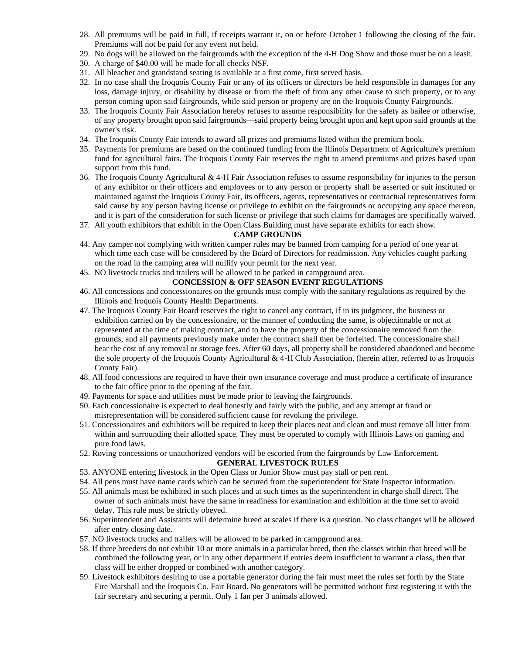- 28. All premiums will be paid in full, if receipts warrant it, on or before October 1 following the closing of the fair. Premiums will not be paid for any event not held.
- 29. No dogs will be allowed on the fairgrounds with the exception of the 4-H Dog Show and those must be on a leash.
- 30. A charge of \$40.00 will be made for all checks NSF.
- 31. All bleacher and grandstand seating is available at a first come, first served basis.
- 32. In no case shall the Iroquois County Fair or any of its officers or directors be held responsible in damages for any loss, damage injury, or disability by disease or from the theft of from any other cause to such property, or to any person coming upon said fairgrounds, while said person or property are on the Iroquois County Fairgrounds.
- 33. The Iroquois County Fair Association hereby refuses to assume responsibility for the safety as bailee or otherwise, of any property brought upon said fairgrounds—said property being brought upon and kept upon said grounds at the owner's risk.
- 34. The Iroquois County Fair intends to award all prizes and premiums listed within the premium book.
- 35. Payments for premiums are based on the continued funding from the Illinois Department of Agriculture's premium fund for agricultural fairs. The Iroquois County Fair reserves the right to amend premiums and prizes based upon support from this fund.
- 36. The Iroquois County Agricultural & 4-H Fair Association refuses to assume responsibility for injuries to the person of any exhibitor or their officers and employees or to any person or property shall be asserted or suit instituted or maintained against the Iroquois County Fair, its officers, agents, representatives or contractual representatives form said cause by any person having license or privilege to exhibit on the fairgrounds or occupying any space thereon, and it is part of the consideration for such license or privilege that such claims for damages are specifically waived.
- 37. All youth exhibitors that exhibit in the Open Class Building must have separate exhibits for each show.

#### **CAMP GROUNDS**

- 44. Any camper not complying with written camper rules may be banned from camping for a period of one year at which time each case will be considered by the Board of Directors for readmission. Any vehicles caught parking on the road in the camping area will nullify your permit for the next year.
- 45. NO livestock trucks and trailers will be allowed to be parked in campground area.

#### **CONCESSION & OFF SEASON EVENT REGULATIONS**

- 46. All concessions and concessionaires on the grounds must comply with the sanitary regulations as required by the Illinois and Iroquois County Health Departments.
- 47. The Iroquois County Fair Board reserves the right to cancel any contract, if in its judgment, the business or exhibition carried on by the concessionaire, or the manner of conducting the same, is objectionable or not at represented at the time of making contract, and to have the property of the concessionaire removed from the grounds, and all payments previously make under the contract shall then be forfeited. The concessionaire shall bear the cost of any removal or storage fees. After 60 days, all property shall be considered abandoned and become the sole property of the Iroquois County Agricultural & 4-H Club Association, (herein after, referred to as Iroquois County Fair).
- 48. All food concessions are required to have their own insurance coverage and must produce a certificate of insurance to the fair office prior to the opening of the fair.
- 49. Payments for space and utilities must be made prior to leaving the fairgrounds.
- 50. Each concessionaire is expected to deal honestly and fairly with the public, and any attempt at fraud or misrepresentation will be considered sufficient cause for revoking the privilege.
- 51. Concessionaires and exhibitors will be required to keep their places neat and clean and must remove all litter from within and surrounding their allotted space. They must be operated to comply with Illinois Laws on gaming and pure food laws.
- 52. Roving concessions or unauthorized vendors will be escorted from the fairgrounds by Law Enforcement.

#### **GENERAL LIVESTOCK RULES**

- 53. ANYONE entering livestock in the Open Class or Junior Show must pay stall or pen rent.
- 54. All pens must have name cards which can be secured from the superintendent for State Inspector information.
- 55. All animals must be exhibited in such places and at such times as the superintendent in charge shall direct. The owner of such animals must have the same in readiness for examination and exhibition at the time set to avoid delay. This rule must be strictly obeyed.
- 56. Superintendent and Assistants will determine breed at scales if there is a question. No class changes will be allowed after entry closing date.
- 57. NO livestock trucks and trailers will be allowed to be parked in campground area.
- 58. If three breeders do not exhibit 10 or more animals in a particular breed, then the classes within that breed will be combined the following year, or in any other department if entries deem insufficient to warrant a class, then that class will be either dropped or combined with another category.
- 59. Livestock exhibitors desiring to use a portable generator during the fair must meet the rules set forth by the State Fire Marshall and the Iroquois Co. Fair Board. No generators will be permitted without first registering it with the fair secretary and securing a permit. Only 1 fan per 3 animals allowed.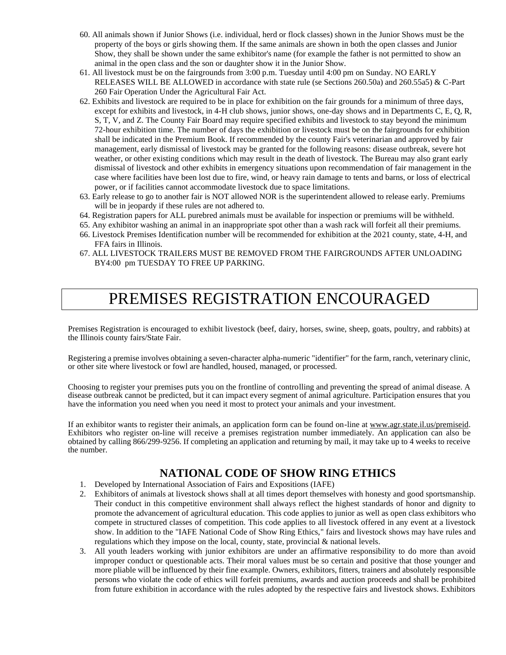- 60. All animals shown if Junior Shows (i.e. individual, herd or flock classes) shown in the Junior Shows must be the property of the boys or girls showing them. If the same animals are shown in both the open classes and Junior Show, they shall be shown under the same exhibitor's name (for example the father is not permitted to show an animal in the open class and the son or daughter show it in the Junior Show.
- 61. All livestock must be on the fairgrounds from 3:00 p.m. Tuesday until 4:00 pm on Sunday. NO EARLY RELEASES WILL BE ALLOWED in accordance with state rule (se Sections 260.50a) and 260.55a5) & C-Part 260 Fair Operation Under the Agricultural Fair Act.
- 62. Exhibits and livestock are required to be in place for exhibition on the fair grounds for a minimum of three days, except for exhibits and livestock, in 4-H club shows, junior shows, one-day shows and in Departments C, E, Q, R, S, T, V, and Z. The County Fair Board may require specified exhibits and livestock to stay beyond the minimum 72-hour exhibition time. The number of days the exhibition or livestock must be on the fairgrounds for exhibition shall be indicated in the Premium Book. If recommended by the county Fair's veterinarian and approved by fair management, early dismissal of livestock may be granted for the following reasons: disease outbreak, severe hot weather, or other existing conditions which may result in the death of livestock. The Bureau may also grant early dismissal of livestock and other exhibits in emergency situations upon recommendation of fair management in the case where facilities have been lost due to fire, wind, or heavy rain damage to tents and barns, or loss of electrical power, or if facilities cannot accommodate livestock due to space limitations.
- 63. Early release to go to another fair is NOT allowed NOR is the superintendent allowed to release early. Premiums will be in jeopardy if these rules are not adhered to.
- 64. Registration papers for ALL purebred animals must be available for inspection or premiums will be withheld.
- 65. Any exhibitor washing an animal in an inappropriate spot other than a wash rack will forfeit all their premiums.
- 66. Livestock Premises Identification number will be recommended for exhibition at the 2021 county, state, 4-H, and FFA fairs in Illinois.
- 67. ALL LIVESTOCK TRAILERS MUST BE REMOVED FROM THE FAIRGROUNDS AFTER UNLOADING BY4:00 pm TUESDAY TO FREE UP PARKING.

# PREMISES REGISTRATION ENCOURAGED

Premises Registration is encouraged to exhibit livestock (beef, dairy, horses, swine, sheep, goats, poultry, and rabbits) at the Illinois county fairs/State Fair.

Registering a premise involves obtaining a seven-character alpha-numeric "identifier" for the farm, ranch, veterinary clinic, or other site where livestock or fowl are handled, housed, managed, or processed.

Choosing to register your premises puts you on the frontline of controlling and preventing the spread of animal disease. A disease outbreak cannot be predicted, but it can impact every segment of animal agriculture. Participation ensures that you have the information you need when you need it most to protect your animals and your investment.

If an exhibitor wants to register their animals, an application form can be found on-line at www.agr.state.il.us/premiseid. Exhibitors who register on-line will receive a premises registration number immediately. An application can also be obtained by calling 866/299-9256. If completing an application and returning by mail, it may take up to 4 weeks to receive the number.

### **NATIONAL CODE OF SHOW RING ETHICS**

- 1. Developed by International Association of Fairs and Expositions (IAFE)
- 2. Exhibitors of animals at livestock shows shall at all times deport themselves with honesty and good sportsmanship. Their conduct in this competitive environment shall always reflect the highest standards of honor and dignity to promote the advancement of agricultural education. This code applies to junior as well as open class exhibitors who compete in structured classes of competition. This code applies to all livestock offered in any event at a livestock show. In addition to the "IAFE National Code of Show Ring Ethics," fairs and livestock shows may have rules and regulations which they impose on the local, county, state, provincial & national levels.
- 3. All youth leaders working with junior exhibitors are under an affirmative responsibility to do more than avoid improper conduct or questionable acts. Their moral values must be so certain and positive that those younger and more pliable will be influenced by their fine example. Owners, exhibitors, fitters, trainers and absolutely responsible persons who violate the code of ethics will forfeit premiums, awards and auction proceeds and shall be prohibited from future exhibition in accordance with the rules adopted by the respective fairs and livestock shows. Exhibitors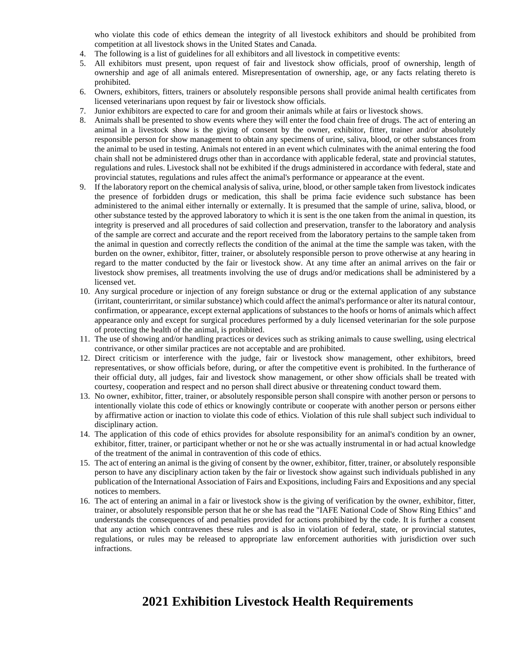who violate this code of ethics demean the integrity of all livestock exhibitors and should be prohibited from competition at all livestock shows in the United States and Canada.

- 4. The following is a list of guidelines for all exhibitors and all livestock in competitive events:
- 5. All exhibitors must present, upon request of fair and livestock show officials, proof of ownership, length of ownership and age of all animals entered. Misrepresentation of ownership, age, or any facts relating thereto is prohibited.
- 6. Owners, exhibitors, fitters, trainers or absolutely responsible persons shall provide animal health certificates from licensed veterinarians upon request by fair or livestock show officials.
- 7. Junior exhibitors are expected to care for and groom their animals while at fairs or livestock shows.
- 8. Animals shall be presented to show events where they will enter the food chain free of drugs. The act of entering an animal in a livestock show is the giving of consent by the owner, exhibitor, fitter, trainer and/or absolutely responsible person for show management to obtain any specimens of urine, saliva, blood, or other substances from the animal to be used in testing. Animals not entered in an event which culminates with the animal entering the food chain shall not be administered drugs other than in accordance with applicable federal, state and provincial statutes, regulations and rules. Livestock shall not be exhibited if the drugs administered in accordance with federal, state and provincial statutes, regulations and rules affect the animal's performance or appearance at the event.
- 9. If the laboratory report on the chemical analysis of saliva, urine, blood, or other sample taken from livestock indicates the presence of forbidden drugs or medication, this shall be prima facie evidence such substance has been administered to the animal either internally or externally. It is presumed that the sample of urine, saliva, blood, or other substance tested by the approved laboratory to which it is sent is the one taken from the animal in question, its integrity is preserved and all procedures of said collection and preservation, transfer to the laboratory and analysis of the sample are correct and accurate and the report received from the laboratory pertains to the sample taken from the animal in question and correctly reflects the condition of the animal at the time the sample was taken, with the burden on the owner, exhibitor, fitter, trainer, or absolutely responsible person to prove otherwise at any hearing in regard to the matter conducted by the fair or livestock show. At any time after an animal arrives on the fair or livestock show premises, all treatments involving the use of drugs and/or medications shall be administered by a licensed vet.
- 10. Any surgical procedure or injection of any foreign substance or drug or the external application of any substance (irritant, counterirritant, or similar substance) which could affect the animal's performance or alter its natural contour, confirmation, or appearance, except external applications of substances to the hoofs or horns of animals which affect appearance only and except for surgical procedures performed by a duly licensed veterinarian for the sole purpose of protecting the health of the animal, is prohibited.
- 11. The use of showing and/or handling practices or devices such as striking animals to cause swelling, using electrical contrivance, or other similar practices are not acceptable and are prohibited.
- 12. Direct criticism or interference with the judge, fair or livestock show management, other exhibitors, breed representatives, or show officials before, during, or after the competitive event is prohibited. In the furtherance of their official duty, all judges, fair and livestock show management, or other show officials shall be treated with courtesy, cooperation and respect and no person shall direct abusive or threatening conduct toward them.
- 13. No owner, exhibitor, fitter, trainer, or absolutely responsible person shall conspire with another person or persons to intentionally violate this code of ethics or knowingly contribute or cooperate with another person or persons either by affirmative action or inaction to violate this code of ethics. Violation of this rule shall subject such individual to disciplinary action.
- 14. The application of this code of ethics provides for absolute responsibility for an animal's condition by an owner, exhibitor, fitter, trainer, or participant whether or not he or she was actually instrumental in or had actual knowledge of the treatment of the animal in contravention of this code of ethics.
- 15. The act of entering an animal is the giving of consent by the owner, exhibitor, fitter, trainer, or absolutely responsible person to have any disciplinary action taken by the fair or livestock show against such individuals published in any publication of the International Association of Fairs and Expositions, including Fairs and Expositions and any special notices to members.
- 16. The act of entering an animal in a fair or livestock show is the giving of verification by the owner, exhibitor, fitter, trainer, or absolutely responsible person that he or she has read the "IAFE National Code of Show Ring Ethics" and understands the consequences of and penalties provided for actions prohibited by the code. It is further a consent that any action which contravenes these rules and is also in violation of federal, state, or provincial statutes, regulations, or rules may be released to appropriate law enforcement authorities with jurisdiction over such infractions.

# **2021 Exhibition Livestock Health Requirements**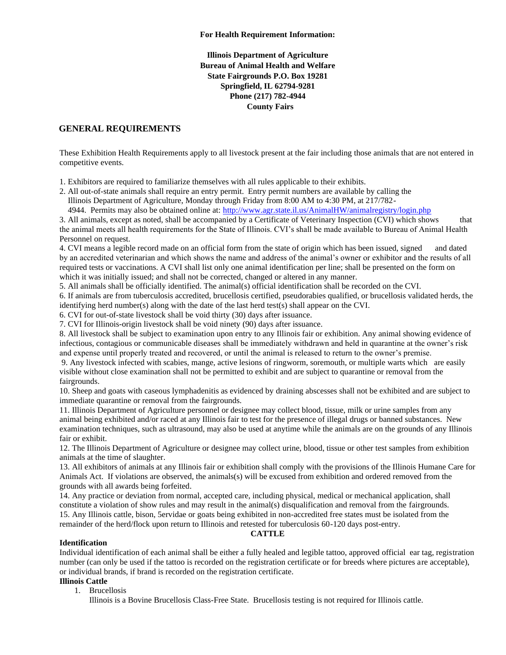**Illinois Department of Agriculture Bureau of Animal Health and Welfare State Fairgrounds P.O. Box 19281 Springfield, IL 62794-9281 Phone (217) 782-4944 County Fairs** 

#### **GENERAL REQUIREMENTS**

These Exhibition Health Requirements apply to all livestock present at the fair including those animals that are not entered in competitive events.

1. Exhibitors are required to familiarize themselves with all rules applicable to their exhibits.

2. All out-of-state animals shall require an entry permit. Entry permit numbers are available by calling the Illinois Department of Agriculture, Monday through Friday from 8:00 AM to 4:30 PM, at 217/782-

4944. Permits may also be obtained online at[: http://www.agr.state.il.us/AnimalHW/animalregistry/login.php](http://www.agr.state.il.us/AnimalHW/animalregistry/login.php)

3. All animals, except as noted, shall be accompanied by a Certificate of Veterinary Inspection (CVI) which shows that the animal meets all health requirements for the State of Illinois. CVI's shall be made available to Bureau of Animal Health Personnel on request.

4. CVI means a legible record made on an official form from the state of origin which has been issued, signed and dated by an accredited veterinarian and which shows the name and address of the animal's owner or exhibitor and the results of all required tests or vaccinations. A CVI shall list only one animal identification per line; shall be presented on the form on which it was initially issued; and shall not be corrected, changed or altered in any manner.

5. All animals shall be officially identified. The animal(s) official identification shall be recorded on the CVI.

6. If animals are from tuberculosis accredited, brucellosis certified, pseudorabies qualified, or brucellosis validated herds, the identifying herd number(s) along with the date of the last herd test(s) shall appear on the CVI.

6. CVI for out-of-state livestock shall be void thirty (30) days after issuance.

7. CVI for Illinois-origin livestock shall be void ninety (90) days after issuance.

8. All livestock shall be subject to examination upon entry to any Illinois fair or exhibition. Any animal showing evidence of infectious, contagious or communicable diseases shall be immediately withdrawn and held in quarantine at the owner's risk and expense until properly treated and recovered, or until the animal is released to return to the owner's premise.

9. Any livestock infected with scabies, mange, active lesions of ringworm, soremouth, or multiple warts which are easily visible without close examination shall not be permitted to exhibit and are subject to quarantine or removal from the fairgrounds.

10. Sheep and goats with caseous lymphadenitis as evidenced by draining abscesses shall not be exhibited and are subject to immediate quarantine or removal from the fairgrounds.

11. Illinois Department of Agriculture personnel or designee may collect blood, tissue, milk or urine samples from any animal being exhibited and/or raced at any Illinois fair to test for the presence of illegal drugs or banned substances. New examination techniques, such as ultrasound, may also be used at anytime while the animals are on the grounds of any Illinois fair or exhibit.

12. The Illinois Department of Agriculture or designee may collect urine, blood, tissue or other test samples from exhibition animals at the time of slaughter.

13. All exhibitors of animals at any Illinois fair or exhibition shall comply with the provisions of the Illinois Humane Care for Animals Act. If violations are observed, the animals(s) will be excused from exhibition and ordered removed from the grounds with all awards being forfeited.

14. Any practice or deviation from normal, accepted care, including physical, medical or mechanical application, shall constitute a violation of show rules and may result in the animal(s) disqualification and removal from the fairgrounds. 15. Any Illinois cattle, bison, 5ervidae or goats being exhibited in non-accredited free states must be isolated from the remainder of the herd/flock upon return to Illinois and retested for tuberculosis 60-120 days post-entry.

#### **CATTLE**

#### **Identification**

Individual identification of each animal shall be either a fully healed and legible tattoo, approved official ear tag, registration number (can only be used if the tattoo is recorded on the registration certificate or for breeds where pictures are acceptable), or individual brands, if brand is recorded on the registration certificate.

#### **Illinois Cattle**

1. Brucellosis

Illinois is a Bovine Brucellosis Class-Free State. Brucellosis testing is not required for Illinois cattle.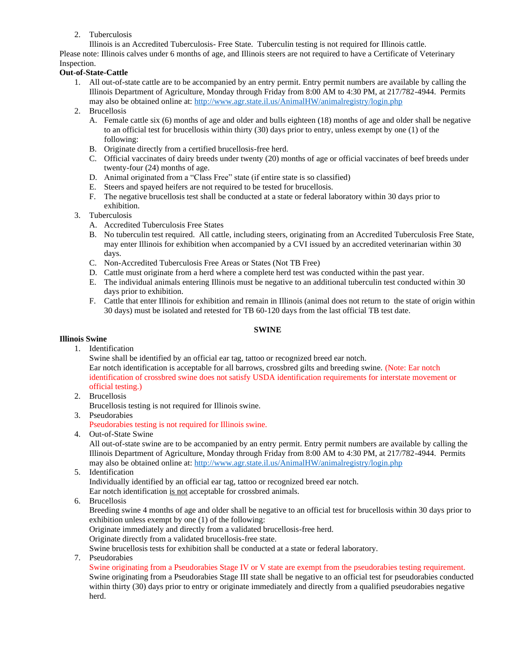2. Tuberculosis

Illinois is an Accredited Tuberculosis- Free State. Tuberculin testing is not required for Illinois cattle. Please note: Illinois calves under 6 months of age, and Illinois steers are not required to have a Certificate of Veterinary Inspection.

#### **Out-of-State-Cattle**

- 1. All out-of-state cattle are to be accompanied by an entry permit. Entry permit numbers are available by calling the Illinois Department of Agriculture, Monday through Friday from 8:00 AM to 4:30 PM, at 217/782-4944. Permits may also be obtained online at:<http://www.agr.state.il.us/AnimalHW/animalregistry/login.php>
- 2. Brucellosis
	- A. Female cattle six (6) months of age and older and bulls eighteen (18) months of age and older shall be negative to an official test for brucellosis within thirty (30) days prior to entry, unless exempt by one (1) of the following:
	- B. Originate directly from a certified brucellosis-free herd.
	- C. Official vaccinates of dairy breeds under twenty (20) months of age or official vaccinates of beef breeds under twenty-four (24) months of age.
	- D. Animal originated from a "Class Free" state (if entire state is so classified)
	- E. Steers and spayed heifers are not required to be tested for brucellosis.
	- F. The negative brucellosis test shall be conducted at a state or federal laboratory within 30 days prior to exhibition.
- 3. Tuberculosis
	- A. Accredited Tuberculosis Free States
	- B. No tuberculin test required. All cattle, including steers, originating from an Accredited Tuberculosis Free State, may enter Illinois for exhibition when accompanied by a CVI issued by an accredited veterinarian within 30 days.
	- C. Non-Accredited Tuberculosis Free Areas or States (Not TB Free)
	- D. Cattle must originate from a herd where a complete herd test was conducted within the past year.
	- E. The individual animals entering Illinois must be negative to an additional tuberculin test conducted within 30 days prior to exhibition.
	- F. Cattle that enter Illinois for exhibition and remain in Illinois (animal does not return to the state of origin within 30 days) must be isolated and retested for TB 60-120 days from the last official TB test date.

#### **SWINE**

#### **Illinois Swine**

1. Identification

Swine shall be identified by an official ear tag, tattoo or recognized breed ear notch. Ear notch identification is acceptable for all barrows, crossbred gilts and breeding swine. (Note: Ear notch identification of crossbred swine does not satisfy USDA identification requirements for interstate movement or official testing.)

- 2. Brucellosis Brucellosis testing is not required for Illinois swine.
- 3. Pseudorabies

Pseudorabies testing is not required for Illinois swine.

4. Out-of-State Swine

All out-of-state swine are to be accompanied by an entry permit. Entry permit numbers are available by calling the Illinois Department of Agriculture, Monday through Friday from 8:00 AM to 4:30 PM, at 217/782-4944. Permits may also be obtained online at:<http://www.agr.state.il.us/AnimalHW/animalregistry/login.php>

5. Identification Individually identified by an official ear tag, tattoo or recognized breed ear notch.

Ear notch identification is not acceptable for crossbred animals.

6. Brucellosis

Breeding swine 4 months of age and older shall be negative to an official test for brucellosis within 30 days prior to exhibition unless exempt by one (1) of the following:

Originate immediately and directly from a validated brucellosis-free herd.

Originate directly from a validated brucellosis-free state.

Swine brucellosis tests for exhibition shall be conducted at a state or federal laboratory.

7. Pseudorabies

Swine originating from a Pseudorabies Stage IV or V state are exempt from the pseudorabies testing requirement. Swine originating from a Pseudorabies Stage III state shall be negative to an official test for pseudorabies conducted within thirty (30) days prior to entry or originate immediately and directly from a qualified pseudorabies negative herd.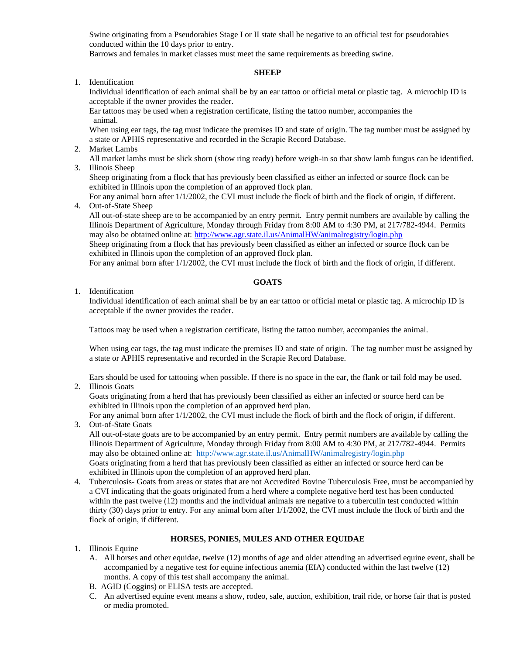Swine originating from a Pseudorabies Stage I or II state shall be negative to an official test for pseudorabies conducted within the 10 days prior to entry.

Barrows and females in market classes must meet the same requirements as breeding swine.

#### **SHEEP**

1. Identification

Individual identification of each animal shall be by an ear tattoo or official metal or plastic tag. A microchip ID is acceptable if the owner provides the reader.

Ear tattoos may be used when a registration certificate, listing the tattoo number, accompanies the animal.

When using ear tags, the tag must indicate the premises ID and state of origin. The tag number must be assigned by a state or APHIS representative and recorded in the Scrapie Record Database.

2. Market Lambs

All market lambs must be slick shorn (show ring ready) before weigh-in so that show lamb fungus can be identified. 3. Illinois Sheep

Sheep originating from a flock that has previously been classified as either an infected or source flock can be exhibited in Illinois upon the completion of an approved flock plan.

For any animal born after 1/1/2002, the CVI must include the flock of birth and the flock of origin, if different. 4. Out-of-State Sheep

All out-of-state sheep are to be accompanied by an entry permit. Entry permit numbers are available by calling the Illinois Department of Agriculture, Monday through Friday from 8:00 AM to 4:30 PM, at 217/782-4944. Permits may also be obtained online at:<http://www.agr.state.il.us/AnimalHW/animalregistry/login.php>

Sheep originating from a flock that has previously been classified as either an infected or source flock can be exhibited in Illinois upon the completion of an approved flock plan.

For any animal born after 1/1/2002, the CVI must include the flock of birth and the flock of origin, if different.

#### **GOATS**

1. Identification

Individual identification of each animal shall be by an ear tattoo or official metal or plastic tag. A microchip ID is acceptable if the owner provides the reader.

Tattoos may be used when a registration certificate, listing the tattoo number, accompanies the animal.

When using ear tags, the tag must indicate the premises ID and state of origin. The tag number must be assigned by a state or APHIS representative and recorded in the Scrapie Record Database.

Ears should be used for tattooing when possible. If there is no space in the ear, the flank or tail fold may be used.

2. Illinois Goats

Goats originating from a herd that has previously been classified as either an infected or source herd can be exhibited in Illinois upon the completion of an approved herd plan.

For any animal born after 1/1/2002, the CVI must include the flock of birth and the flock of origin, if different. 3. Out-of-State Goats

All out-of-state goats are to be accompanied by an entry permit. Entry permit numbers are available by calling the Illinois Department of Agriculture, Monday through Friday from 8:00 AM to 4:30 PM, at 217/782-4944. Permits may also be obtained online at:<http://www.agr.state.il.us/AnimalHW/animalregistry/login.php> Goats originating from a herd that has previously been classified as either an infected or source herd can be exhibited in Illinois upon the completion of an approved herd plan.

4. Tuberculosis- Goats from areas or states that are not Accredited Bovine Tuberculosis Free, must be accompanied by a CVI indicating that the goats originated from a herd where a complete negative herd test has been conducted within the past twelve (12) months and the individual animals are negative to a tuberculin test conducted within thirty (30) days prior to entry. For any animal born after 1/1/2002, the CVI must include the flock of birth and the flock of origin, if different.

#### **HORSES, PONIES, MULES AND OTHER EQUIDAE**

- 1. Illinois Equine
	- A. All horses and other equidae, twelve (12) months of age and older attending an advertised equine event, shall be accompanied by a negative test for equine infectious anemia (EIA) conducted within the last twelve (12) months. A copy of this test shall accompany the animal.
	- B. AGID (Coggins) or ELISA tests are accepted.
	- C. An advertised equine event means a show, rodeo, sale, auction, exhibition, trail ride, or horse fair that is posted or media promoted.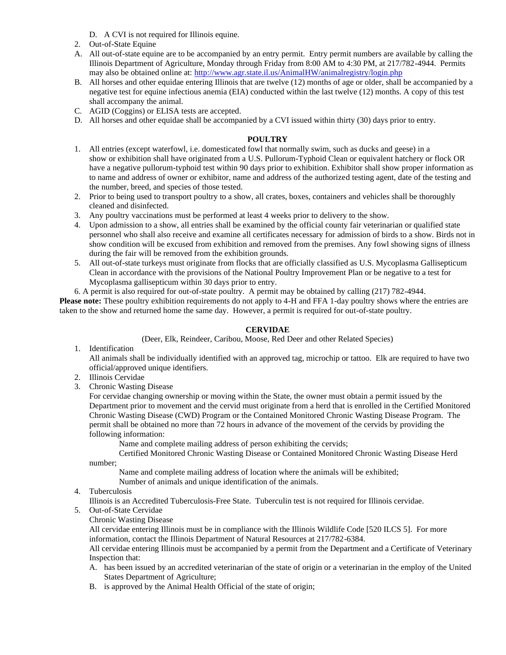- D. A CVI is not required for Illinois equine.
- 2. Out-of-State Equine
- A. All out-of-state equine are to be accompanied by an entry permit. Entry permit numbers are available by calling the Illinois Department of Agriculture, Monday through Friday from 8:00 AM to 4:30 PM, at 217/782-4944. Permits may also be obtained online at:<http://www.agr.state.il.us/AnimalHW/animalregistry/login.php>
- B. All horses and other equidae entering Illinois that are twelve (12) months of age or older, shall be accompanied by a negative test for equine infectious anemia (EIA) conducted within the last twelve (12) months. A copy of this test shall accompany the animal.
- C. AGID (Coggins) or ELISA tests are accepted.
- D. All horses and other equidae shall be accompanied by a CVI issued within thirty (30) days prior to entry.

#### **POULTRY**

- 1. All entries (except waterfowl, i.e. domesticated fowl that normally swim, such as ducks and geese) in a show or exhibition shall have originated from a U.S. Pullorum-Typhoid Clean or equivalent hatchery or flock OR have a negative pullorum-typhoid test within 90 days prior to exhibition. Exhibitor shall show proper information as to name and address of owner or exhibitor, name and address of the authorized testing agent, date of the testing and the number, breed, and species of those tested.
- 2. Prior to being used to transport poultry to a show, all crates, boxes, containers and vehicles shall be thoroughly cleaned and disinfected.
- 3. Any poultry vaccinations must be performed at least 4 weeks prior to delivery to the show.
- 4. Upon admission to a show, all entries shall be examined by the official county fair veterinarian or qualified state personnel who shall also receive and examine all certificates necessary for admission of birds to a show. Birds not in show condition will be excused from exhibition and removed from the premises. Any fowl showing signs of illness during the fair will be removed from the exhibition grounds.
- 5. All out-of-state turkeys must originate from flocks that are officially classified as U.S. Mycoplasma Gallisepticum Clean in accordance with the provisions of the National Poultry Improvement Plan or be negative to a test for Mycoplasma gallisepticum within 30 days prior to entry.
- 6. A permit is also required for out-of-state poultry. A permit may be obtained by calling (217) 782-4944.

**Please note:** These poultry exhibition requirements do not apply to 4-H and FFA 1-day poultry shows where the entries are taken to the show and returned home the same day. However, a permit is required for out-of-state poultry.

#### **CERVIDAE**

(Deer, Elk, Reindeer, Caribou, Moose, Red Deer and other Related Species)

1. Identification

All animals shall be individually identified with an approved tag, microchip or tattoo. Elk are required to have two official/approved unique identifiers.

- 2. Illinois Cervidae
- 3. Chronic Wasting Disease

For cervidae changing ownership or moving within the State, the owner must obtain a permit issued by the Department prior to movement and the cervid must originate from a herd that is enrolled in the Certified Monitored Chronic Wasting Disease (CWD) Program or the Contained Monitored Chronic Wasting Disease Program. The permit shall be obtained no more than 72 hours in advance of the movement of the cervids by providing the following information:

Name and complete mailing address of person exhibiting the cervids;

Certified Monitored Chronic Wasting Disease or Contained Monitored Chronic Wasting Disease Herd number;

Name and complete mailing address of location where the animals will be exhibited;

Number of animals and unique identification of the animals.

4. Tuberculosis

Illinois is an Accredited Tuberculosis-Free State. Tuberculin test is not required for Illinois cervidae.

- 5. Out-of-State Cervidae
	- Chronic Wasting Disease

All cervidae entering Illinois must be in compliance with the Illinois Wildlife Code [520 ILCS 5]. For more information, contact the Illinois Department of Natural Resources at 217/782-6384.

All cervidae entering Illinois must be accompanied by a permit from the Department and a Certificate of Veterinary Inspection that:

- A. has been issued by an accredited veterinarian of the state of origin or a veterinarian in the employ of the United States Department of Agriculture;
- B. is approved by the Animal Health Official of the state of origin;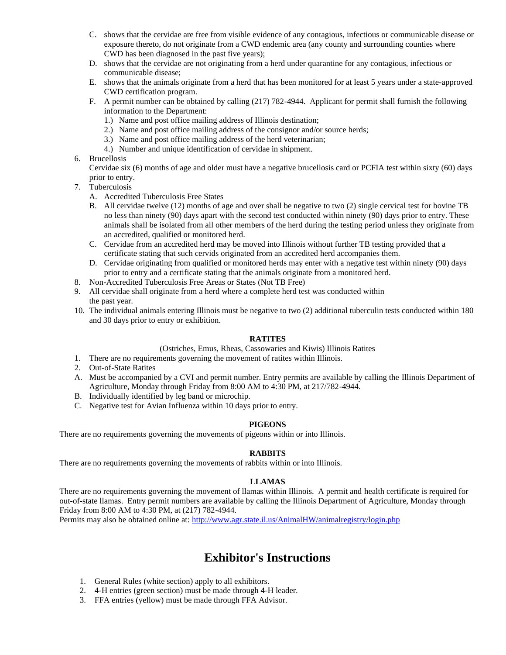- C. shows that the cervidae are free from visible evidence of any contagious, infectious or communicable disease or exposure thereto, do not originate from a CWD endemic area (any county and surrounding counties where CWD has been diagnosed in the past five years);
- D. shows that the cervidae are not originating from a herd under quarantine for any contagious, infectious or communicable disease;
- E. shows that the animals originate from a herd that has been monitored for at least 5 years under a state-approved CWD certification program.
- F. A permit number can be obtained by calling (217) 782-4944. Applicant for permit shall furnish the following information to the Department:
	- 1.) Name and post office mailing address of Illinois destination;
	- 2.) Name and post office mailing address of the consignor and/or source herds;
	- 3.) Name and post office mailing address of the herd veterinarian;
	- 4.) Number and unique identification of cervidae in shipment.
- 6. Brucellosis

Cervidae six (6) months of age and older must have a negative brucellosis card or PCFIA test within sixty (60) days prior to entry.

- 7. Tuberculosis
	- A. Accredited Tuberculosis Free States
	- B. All cervidae twelve (12) months of age and over shall be negative to two (2) single cervical test for bovine TB no less than ninety (90) days apart with the second test conducted within ninety (90) days prior to entry. These animals shall be isolated from all other members of the herd during the testing period unless they originate from an accredited, qualified or monitored herd.
	- C. Cervidae from an accredited herd may be moved into Illinois without further TB testing provided that a certificate stating that such cervids originated from an accredited herd accompanies them.
	- D. Cervidae originating from qualified or monitored herds may enter with a negative test within ninety (90) days prior to entry and a certificate stating that the animals originate from a monitored herd.
- 8. Non-Accredited Tuberculosis Free Areas or States (Not TB Free)
- 9. All cervidae shall originate from a herd where a complete herd test was conducted within the past year.
- 10. The individual animals entering Illinois must be negative to two (2) additional tuberculin tests conducted within 180 and 30 days prior to entry or exhibition.

#### **RATITES**

#### (Ostriches, Emus, Rheas, Cassowaries and Kiwis) Illinois Ratites

- 1. There are no requirements governing the movement of ratites within Illinois.
- 2. Out-of-State Ratites
- A. Must be accompanied by a CVI and permit number. Entry permits are available by calling the Illinois Department of Agriculture, Monday through Friday from 8:00 AM to 4:30 PM, at 217/782-4944.
- B. Individually identified by leg band or microchip.
- C. Negative test for Avian Influenza within 10 days prior to entry.

#### **PIGEONS**

There are no requirements governing the movements of pigeons within or into Illinois.

#### **RABBITS**

There are no requirements governing the movements of rabbits within or into Illinois.

#### **LLAMAS**

There are no requirements governing the movement of llamas within Illinois. A permit and health certificate is required for out-of-state llamas. Entry permit numbers are available by calling the Illinois Department of Agriculture, Monday through Friday from 8:00 AM to 4:30 PM, at (217) 782-4944.

Permits may also be obtained online at:<http://www.agr.state.il.us/AnimalHW/animalregistry/login.php>

# **Exhibitor's Instructions**

- 1. General Rules (white section) apply to all exhibitors.
- 2. 4-H entries (green section) must be made through 4-H leader.
- 3. FFA entries (yellow) must be made through FFA Advisor.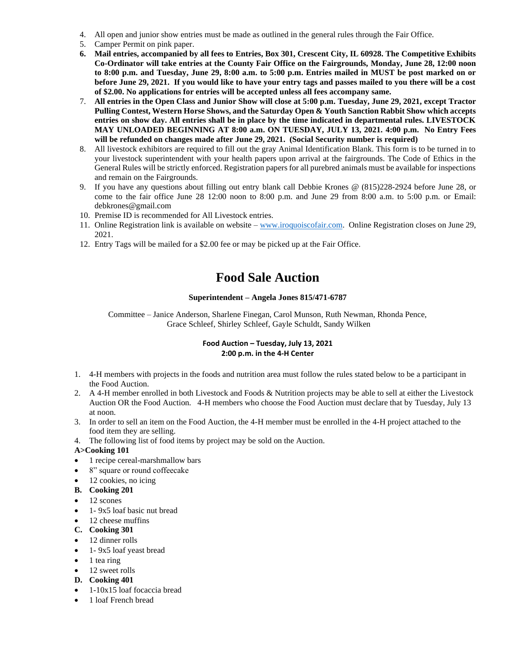- 4. All open and junior show entries must be made as outlined in the general rules through the Fair Office.
- 5. Camper Permit on pink paper.
- **6. Mail entries, accompanied by all fees to Entries, Box 301, Crescent City, IL 60928. The Competitive Exhibits Co-Ordinator will take entries at the County Fair Office on the Fairgrounds, Monday, June 28, 12:00 noon to 8:00 p.m. and Tuesday, June 29, 8:00 a.m. to 5:00 p.m. Entries mailed in MUST be post marked on or before June 29, 2021. If you would like to have your entry tags and passes mailed to you there will be a cost of \$2.00. No applications for entries will be accepted unless all fees accompany same.**
- 7. **All entries in the Open Class and Junior Show will close at 5:00 p.m. Tuesday, June 29, 2021, except Tractor Pulling Contest, Western Horse Shows, and the Saturday Open & Youth Sanction Rabbit Show which accepts entries on show day. All entries shall be in place by the time indicated in departmental rules. LIVESTOCK MAY UNLOADED BEGINNING AT 8:00 a.m. ON TUESDAY, JULY 13, 2021. 4:00 p.m. No Entry Fees will be refunded on changes made after June 29, 2021. (Social Security number is required)**
- 8. All livestock exhibitors are required to fill out the gray Animal Identification Blank. This form is to be turned in to your livestock superintendent with your health papers upon arrival at the fairgrounds. The Code of Ethics in the General Rules will be strictly enforced. Registration papers for all purebred animals must be available for inspections and remain on the Fairgrounds.
- 9. If you have any questions about filling out entry blank call Debbie Krones @ (815)228-2924 before June 28, or come to the fair office June 28 12:00 noon to 8:00 p.m. and June 29 from 8:00 a.m. to 5:00 p.m. or Email: debkrones@gmail.com
- 10. Premise ID is recommended for All Livestock entries.
- 11. Online Registration link is available on website [www.iroquoiscofair.com.](http://www.iroquoiscofair.com/) Online Registration closes on June 29, 2021.
- 12. Entry Tags will be mailed for a \$2.00 fee or may be picked up at the Fair Office.

# **Food Sale Auction**

#### **Superintendent – Angela Jones 815/471-6787**

Committee – Janice Anderson, Sharlene Finegan, Carol Munson, Ruth Newman, Rhonda Pence, Grace Schleef, Shirley Schleef, Gayle Schuldt, Sandy Wilken

#### **Food Auction – Tuesday, July 13, 2021 2:00 p.m. in the 4-H Center**

- 1. 4-H members with projects in the foods and nutrition area must follow the rules stated below to be a participant in the Food Auction.
- 2. A 4-H member enrolled in both Livestock and Foods & Nutrition projects may be able to sell at either the Livestock Auction OR the Food Auction. 4-H members who choose the Food Auction must declare that by Tuesday, July 13 at noon.
- 3. In order to sell an item on the Food Auction, the 4-H member must be enrolled in the 4-H project attached to the food item they are selling.
- 4. The following list of food items by project may be sold on the Auction.

#### **A>Cooking 101**

- 1 recipe cereal-marshmallow bars
- 8" square or round coffeecake
- 12 cookies, no icing
- **B. Cooking 201**
- 12 scones
- 1 9x5 loaf basic nut bread
- 12 cheese muffins

#### **C. Cooking 301**

- 12 dinner rolls
- 1 9x5 loaf yeast bread
- $\bullet$  1 tea ring
- 12 sweet rolls
- **D. Cooking 401**
- 1-10x15 loaf focaccia bread
- 1 loaf French bread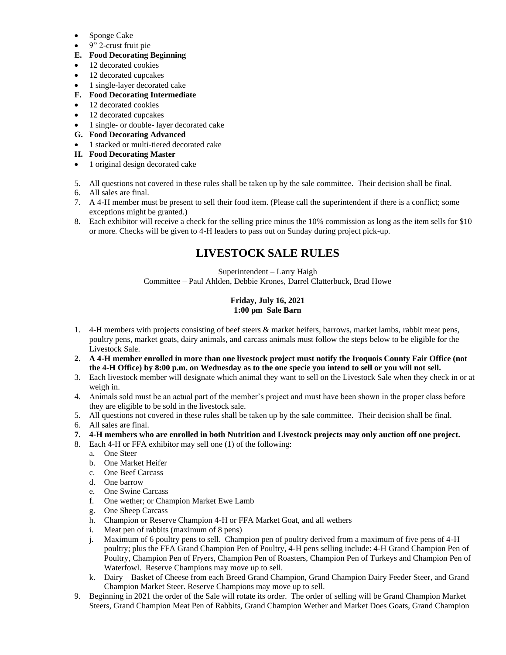- Sponge Cake
- 9" 2-crust fruit pie

#### **E. Food Decorating Beginning**

- 12 decorated cookies
- 12 decorated cupcakes
- 1 single-layer decorated cake
- **F. Food Decorating Intermediate**
- 12 decorated cookies
- 12 decorated cupcakes
- 1 single- or double- layer decorated cake
- **G. Food Decorating Advanced**
- 1 stacked or multi-tiered decorated cake
- **H. Food Decorating Master**
- 1 original design decorated cake
- 5. All questions not covered in these rules shall be taken up by the sale committee. Their decision shall be final.
- 6. All sales are final.
- 7. A 4-H member must be present to sell their food item. (Please call the superintendent if there is a conflict; some exceptions might be granted.)
- 8. Each exhibitor will receive a check for the selling price minus the 10% commission as long as the item sells for \$10 or more. Checks will be given to 4-H leaders to pass out on Sunday during project pick-up.

## **LIVESTOCK SALE RULES**

Superintendent – Larry Haigh Committee – Paul Ahlden, Debbie Krones, Darrel Clatterbuck, Brad Howe

#### **Friday, July 16, 2021 1:00 pm Sale Barn**

- 1. 4-H members with projects consisting of beef steers & market heifers, barrows, market lambs, rabbit meat pens, poultry pens, market goats, dairy animals, and carcass animals must follow the steps below to be eligible for the Livestock Sale.
- **2. A 4-H member enrolled in more than one livestock project must notify the Iroquois County Fair Office (not the 4-H Office) by 8:00 p.m. on Wednesday as to the one specie you intend to sell or you will not sell.**
- 3. Each livestock member will designate which animal they want to sell on the Livestock Sale when they check in or at weigh in.
- 4. Animals sold must be an actual part of the member's project and must have been shown in the proper class before they are eligible to be sold in the livestock sale.
- 5. All questions not covered in these rules shall be taken up by the sale committee. Their decision shall be final.
- 6. All sales are final.
- **7. 4-H members who are enrolled in both Nutrition and Livestock projects may only auction off one project.**
- 8. Each 4-H or FFA exhibitor may sell one (1) of the following:
	- a. One Steer
	- b. One Market Heifer
	- c. One Beef Carcass
	- d. One barrow
	- e. One Swine Carcass
	- f. One wether; or Champion Market Ewe Lamb
	- g. One Sheep Carcass
	- h. Champion or Reserve Champion 4-H or FFA Market Goat, and all wethers
	- i. Meat pen of rabbits (maximum of 8 pens)
	- j. Maximum of 6 poultry pens to sell. Champion pen of poultry derived from a maximum of five pens of 4-H poultry; plus the FFA Grand Champion Pen of Poultry, 4-H pens selling include: 4-H Grand Champion Pen of Poultry, Champion Pen of Fryers, Champion Pen of Roasters, Champion Pen of Turkeys and Champion Pen of Waterfowl. Reserve Champions may move up to sell.
	- k. Dairy Basket of Cheese from each Breed Grand Champion, Grand Champion Dairy Feeder Steer, and Grand Champion Market Steer. Reserve Champions may move up to sell.
- 9. Beginning in 2021 the order of the Sale will rotate its order. The order of selling will be Grand Champion Market Steers, Grand Champion Meat Pen of Rabbits, Grand Champion Wether and Market Does Goats, Grand Champion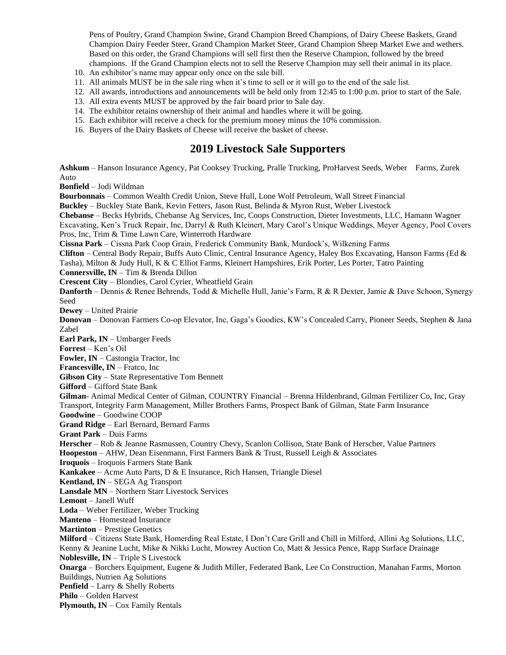Pens of Poultry, Grand Champion Swine, Grand Champion Breed Champions, of Dairy Cheese Baskets, Grand Champion Dairy Feeder Steer, Grand Champion Market Steer, Grand Champion Sheep Market Ewe and wethers. Based on this order, the Grand Champions will sell first then the Reserve Champion, followed by the breed champions. If the Grand Champion elects not to sell the Reserve Champion may sell their animal in its place.

- 10. An exhibitor's name may appear only once on the sale bill.
- 11. All animals MUST be in the sale ring when it's time to sell or it will go to the end of the sale list.
- 12. All awards, introductions and announcements will be held only from 12:45 to 1:00 p.m. prior to start of the Sale.
- 13. All extra events MUST be approved by the fair board prior to Sale day.
- 14. The exhibitor retains ownership of their animal and handles where it will be going.
- 15. Each exhibitor will receive a check for the premium money minus the 10% commission.
- 16. Buyers of the Dairy Baskets of Cheese will receive the basket of cheese.

### **2019 Livestock Sale Supporters**

**Ashkum** – Hanson Insurance Agency, Pat Cooksey Trucking, Pralle Trucking, ProHarvest Seeds, Weber Farms, Zurek Auto

**Bonfield** – Jodi Wildman

**Bourbonnais** – Common Wealth Credit Union, Steve Hull, Lone Wolf Petroleum, Wall Street Financial

**Buckley** – Buckley State Bank, Kevin Fetters, Jason Rust, Belinda & Myron Rust, Weber Livestock

**Chebanse** – Becks Hybrids, Chebanse Ag Services, Inc, Coops Construction, Dieter Investments, LLC, Hamann Wagner

Excavating, Ken's Truck Repair, Inc, Darryl & Ruth Kleinert, Mary Carol's Unique Weddings, Meyer Agency, Pool Covers Pros, Inc, Trim & Time Lawn Care, Winterroth Hardware

**Cissna Park** – Cissna Park Coop Grain, Frederick Community Bank, Murdock's, Wilkening Farms

**Clifton** – Central Body Repair, Buffs Auto Clinic, Central Insurance Agency, Haley Bos Excavating, Hanson Farms (Ed &

Tasha), Milton & Judy Hull, K & C Elliot Farms, Kleinert Hampshires, Erik Porter, Les Porter, Tatro Painting

**Connersville, IN** – Tim & Brenda Dillon

**Crescent City** – Blondies, Carol Cyrier, Wheatfield Grain

**Danforth** – Dennis & Renee Behrends, Todd & Michelle Hull, Janie's Farm, R & R Dexter, Jamie & Dave Schoon, Synergy Seed

**Dewey** – United Prairie

**Donovan** – Donovan Farmers Co-op Elevator, Inc, Gaga's Goodies, KW's Concealed Carry, Pioneer Seeds, Stephen & Jana Zabel

**Earl Park, IN** – Umbarger Feeds

**Forrest** – Ken's Oil

**Fowler, IN** – Castongia Tractor, Inc

**Francesville, IN** – Fratco, Inc

**Gibson City** – State Representative Tom Bennett

**Gifford** – Gifford State Bank

**Gilman**- Animal Medical Center of Gilman, COUNTRY Financial – Brenna Hildenbrand, Gilman Fertilizer Co, Inc, Gray Transport, Integrity Farm Management, Miller Brothers Farms, Prospect Bank of Gilman, State Farm Insurance

**Goodwine** – Goodwine COOP

**Grand Ridge** – Earl Bernard, Bernard Farms

**Grant Park** – Duis Farms

**Herscher** – Rob & Jeanne Rasmussen, Country Chevy, Scanlon Collison, State Bank of Herscher, Value Partners

**Hoopeston** – AHW, Dean Eisenmann, First Farmers Bank & Trust, Russell Leigh & Associates

**Iroquois** – Iroquois Farmers State Bank

**Kankakee** – Acme Auto Parts, D & E Insurance, Rich Hansen, Triangle Diesel

**Kentland, IN** – SEGA Ag Transport

**Lansdale MN** – Northern Starr Livestock Services

**Lemont** – Janell Wuff

**Loda** – Weber Fertilizer, Weber Trucking

**Manteno** – Homestead Insurance

**Martinton** – Prestige Genetics

**Milford** – Citizens State Bank, Homerding Real Estate, I Don't Care Grill and Chill in Milford, Allini Ag Solutions, LLC, Kenny & Jeanine Lucht, Mike & Nikki Lucht, Mowrey Auction Co, Matt & Jessica Pence, Rapp Surface Drainage **Noblesville, IN** – Triple S Livestock

**Onarga** – Borchers Equipment, Eugene & Judith Miller, Federated Bank, Lee Co Construction, Manahan Farms, Morton Buildings, Nutrien Ag Solutions

**Penfield** – Larry & Shelly Roberts

**Philo** – Golden Harvest

**Plymouth, IN** – Cox Family Rentals